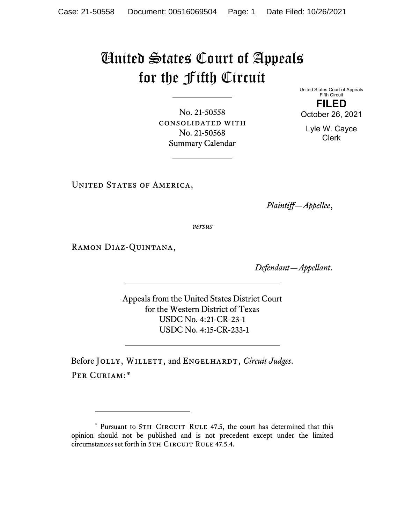## United States Court of Appeals for the Fifth Circuit

No. 21-50558 consolidated with No. 21-50568 Summary Calendar

United States Court of Appeals Fifth Circuit **FILED** October 26, 2021

Lyle W. Cayce Clerk

UNITED STATES OF AMERICA,

*Plaintiff—Appellee*,

*versus*

Ramon Diaz-Quintana,

*Defendant—Appellant*.

Appeals from the United States District Court for the Western District of Texas USDC No. 4:21-CR-23-1 USDC No. 4:15-CR-233-1

Before JOLLY, WILLETT, and ENGELHARDT, *Circuit Judges*. PER CURIAM:[\\*](#page-0-0)

<span id="page-0-0"></span><sup>\*</sup> Pursuant to 5TH CIRCUIT RULE 47.5, the court has determined that this opinion should not be published and is not precedent except under the limited circumstances set forth in 5TH CIRCUIT RULE 47.5.4.